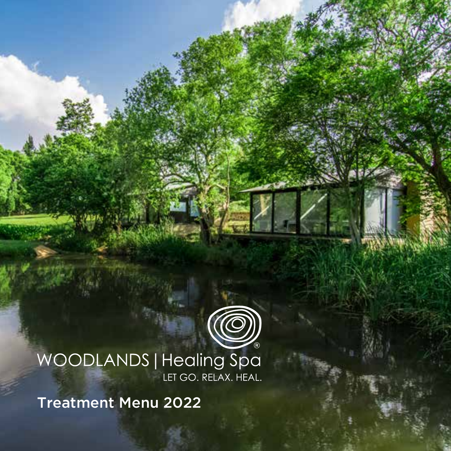

# WOODLANDS | Healing Spa

Treatment Menu 2022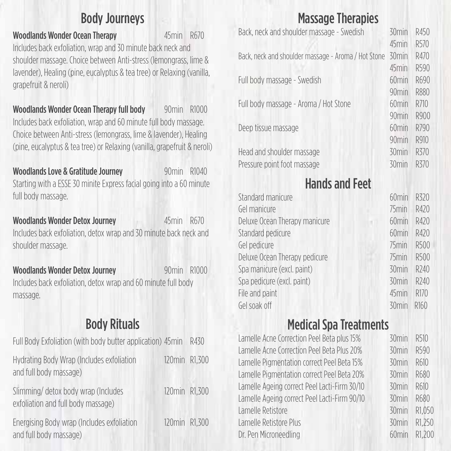### Body Journeys

Woodlands Wonder Ocean Therapy **45min R670** Includes back exfoliation, wrap and 30 minute back neck and shoulder massage. Choice between Anti-stress (lemongrass, lime & lavender), Healing (pine, eucalyptus & tea tree) or Relaxing (vanilla, grapefruit & neroli)

Woodlands Wonder Ocean Therapy full body 90min R1000 Includes back exfoliation, wrap and 60 minute full body massage. Choice between Anti-stress (lemongrass, lime & lavender), Healing (pine, eucalyptus & tea tree) or Relaxing (vanilla, grapefruit & neroli)

Woodlands Love & Gratitude Journey 90min R1040 Starting with a ESSE 30 minite Express facial going into a 60 minute full body massage.

Woodlands Wonder Detox Journey 45min R670 Includes back exfoliation, detox wrap and 30 minute back neck and shoulder massage.

Woodlands Wonder Detox Journey 90min R1000 Includes back exfoliation, detox wrap and 60 minute full body massage.

### Body Rituals

| Full Body Exfoliation (with body butter application) 45min                |               | R430 |
|---------------------------------------------------------------------------|---------------|------|
| Hydrating Body Wrap (Includes exfoliation<br>and full body massage)       | 120min R1.300 |      |
| Slimming/ detox body wrap (Includes<br>exfoliation and full body massage) | 120min R1.300 |      |
| Energising Body wrap (Includes exfoliation<br>and full body massage)      | 120min R1.300 |      |

### Massage Therapies

| Back, neck and shoulder massage - Swedish           | 30 <sub>min</sub> | R450 |
|-----------------------------------------------------|-------------------|------|
|                                                     | 45min             | R570 |
| Back, neck and shoulder massage - Aroma / Hot Stone | 30 <sub>min</sub> | R470 |
|                                                     | 45min             | R590 |
| Full body massage - Swedish                         | 60 <sub>min</sub> | R690 |
|                                                     | 90 <sub>min</sub> | R880 |
| Full body massage - Aroma / Hot Stone               | 60 <sub>min</sub> | R710 |
|                                                     | $90$ min          | R900 |
| Deep tissue massage                                 | 60 <sub>min</sub> | R790 |
|                                                     | 90 <sub>min</sub> | R910 |
| Head and shoulder massage                           | 30 <sub>min</sub> | R370 |
| Pressure point foot massage                         | $30$ min          | R370 |
|                                                     |                   |      |

### Hands and Feet

| Standard manicure             | 60 <sub>min</sub> | R320             |
|-------------------------------|-------------------|------------------|
| Gel manicure                  | 75 <sub>min</sub> | R420             |
| Deluxe Ocean Therapy manicure | 60 <sub>min</sub> | R420             |
| Standard pedicure             | 60 <sub>min</sub> | R420             |
| Gel pedicure                  | 75 <sub>min</sub> | R500             |
| Deluxe Ocean Therapy pedicure | 75 <sub>min</sub> | R500             |
| Spa manicure (excl. paint)    | 30 <sub>min</sub> | R <sub>240</sub> |
| Spa pedicure (excl. paint)    | 30 <sub>min</sub> | R240             |
| File and paint                | 45min             | R170             |
| Gel soak off                  | 30 <sub>min</sub> | R <sub>160</sub> |

### Medical Spa Treatments

| Lamelle Acne Correction Peel Beta plus 15%   | 30 <sub>min</sub> | R510   |
|----------------------------------------------|-------------------|--------|
| Lamelle Acne Correction Peel Beta Plus 20%   | 30 <sub>min</sub> | R590   |
| Lamelle Pigmentation correct Peel Beta 15%   | 30 <sub>min</sub> | R610   |
| Lamelle Pigmentation correct Peel Beta 20%   | $30$ min          | R680   |
| Lamelle Ageing correct Peel Lacti-Firm 30/10 | $30$ min          | R610   |
| Lamelle Ageing correct Peel Lacti-Firm 90/10 | 30 <sub>min</sub> | R680   |
| Lamelle Retistore                            | $30$ min          | R1.050 |
| Lamelle Retistore Plus                       | 30 <sub>min</sub> | R1.250 |
| Dr. Pen Microneedling                        | 60 <sub>min</sub> | R1.200 |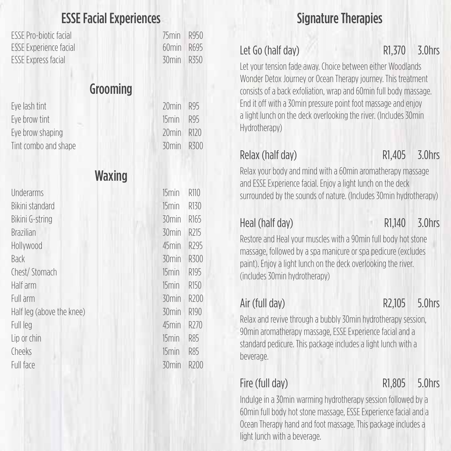### ESSE Facial Experiences

ESSE Pro-biotic facial 75min R950 ESSE Experience facial 60min R695 ESSE Express facial 30min R350

### Grooming

Eye lash tint Fye brow tint Eye brow shaping Tint combo and shape 30min R300

### Underarms Bikini standard Bikini G-string **Brazilian** Hollywood Back 30min R300 Chest/ Stomach Half arm Full arm 30min R200 Half leg (above the knee) Full leg 45min R270 Lip or chin Cheeks 15min R85 Full face 30min R200

| $70$ min          | R95  |
|-------------------|------|
| 15 <sub>min</sub> | R95  |
| 20 <sub>min</sub> | R120 |

Waxing

| 15min             | R110             |
|-------------------|------------------|
| 15 <sub>min</sub> | R130             |
| 30 <sub>min</sub> | R <sub>165</sub> |
| 30min             | R <sub>215</sub> |
| 45min             | R <sub>295</sub> |
| 30 <sub>min</sub> | R300             |
| 15 <sub>min</sub> | R <sub>195</sub> |
| 15 <sub>min</sub> | R <sub>150</sub> |
| 30 <sub>min</sub> | R <sub>200</sub> |
| 30 <sub>min</sub> | R <sub>190</sub> |
| 45min             | R <sub>270</sub> |
| 15 <sub>min</sub> | R85              |
| 15 <sub>min</sub> | R85              |
| 30 <sub>min</sub> | R200             |
|                   |                  |

### Signature Therapies

### Let Go (half day) R1,370 3.0hrs

Let your tension fade away. Choice between either Woodlands Wonder Detox Journey or Ocean Therapy journey. This treatment consists of a back exfoliation, wrap and 60min full body massage. End it off with a 30min pressure point foot massage and enjoy a light lunch on the deck overlooking the river. (Includes 30min Hydrotherapy)

Relax (half day) R1,405 3.0hrs

Relax your body and mind with a 60min aromatherapy massage and ESSE Experience facial. Enjoy a light lunch on the deck surrounded by the sounds of nature. (Includes 30min hydrotherapy)

Heal (half day) R1,140 3.0hrs

Restore and Heal your muscles with a 90min full body hot stone massage, followed by a spa manicure or spa pedicure (excludes paint). Enjoy a light lunch on the deck overlooking the river. (includes 30min hydrotherapy)

Air (full day) R2,105 5.0hrs

Relax and revive through a bubbly 30min hydrotherapy session, 90min aromatherapy massage, ESSE Experience facial and a standard pedicure. This package includes a light lunch with a beverage.

Fire (full day) R1,805 5.0hrs

Indulge in a 30min warming hydrotherapy session followed by a 60min full body hot stone massage, ESSE Experience facial and a Ocean Therapy hand and foot massage. This package includes a light lunch with a beverage.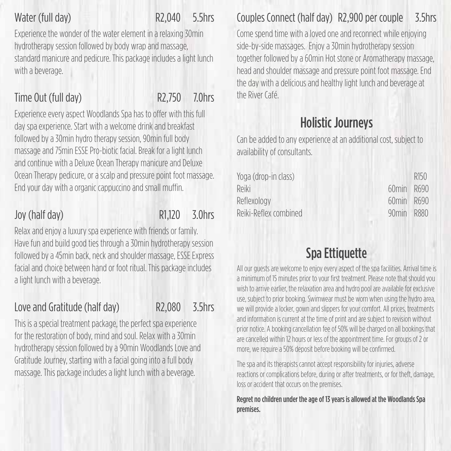### Water (full day) R2,040 5.5hrs

Experience the wonder of the water element in a relaxing 30min hydrotherapy session followed by body wrap and massage, standard manicure and pedicure. This package includes a light lunch with a beverage.

### Time Out (full day) R2,750 7.0hrs

Experience every aspect Woodlands Spa has to offer with this full day spa experience. Start with a welcome drink and breakfast followed by a 30min hydro therapy session, 90min full body massage and 75min ESSE Pro-biotic facial. Break for a light lunch and continue with a Deluxe Ocean Therapy manicure and Deluxe Ocean Therapy pedicure, or a scalp and pressure point foot massage. End your day with a organic cappuccino and small muffin.

### Joy (half day) R1,120 3.0hrs

Relax and enjoy a luxury spa experience with friends or family. Have fun and build good ties through a 30min hydrotherapy session followed by a 45min back, neck and shoulder massage, ESSE Express facial and choice between hand or foot ritual. This package includes a light lunch with a beverage.

### Love and Gratitude (half day) R2,080 3.5hrs

This is a special treatment package, the perfect spa experience for the restoration of body, mind and soul. Relax with a 30min hydrotherapy session followed by a 90min Woodlands Love and Gratitude Journey, starting with a facial going into a full body massage. This package includes a light lunch with a beverage.

### Couples Connect (half day) R2,900 per couple 3.5hrs

Come spend time with a loved one and reconnect while enjoying side-by-side massages. Enjoy a 30min hydrotherapy session together followed by a 60min Hot stone or Aromatherapy massage, head and shoulder massage and pressure point foot massage. End the day with a delicious and healthy light lunch and beverage at the River Café.

### Holistic Journeys

Can be added to any experience at an additional cost, subject to availability of consultants.

|            | R <sub>150</sub> |
|------------|------------------|
| 60min R690 |                  |
| 60min R690 |                  |
| $90$ min   | R880             |
|            |                  |

### Spa Ettiquette

All our guests are welcome to enjoy every aspect of the spa facilities. Arrival time is a minimum of 15 minutes prior to your first treatment. Please note that should you wish to arrive earlier, the relaxation area and hydro pool are available for exclusive use, subject to prior booking. Swimwear must be worn when using the hydro area, we will provide a locker, gown and slippers for your comfort. All prices, treatments and information is current at the time of print and are subject to revision without prior notice. A booking cancellation fee of 50% will be charged on all bookings that are cancelled within 12 hours or less of the appointment time. For groups of 2 or more, we require a 50% deposit before booking will be confirmed.

The spa and its therapists cannot accept responsibility for injuries, adverse reactions or complications before, during or after treatments, or for theft, damage, loss or accident that occurs on the premises.

Regret no children under the age of 13 years is allowed at the Woodlands Spa premises.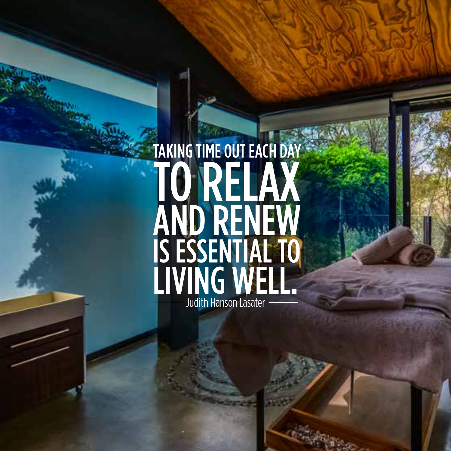## TAKING TIME OUT EACH DAY TO RELAX AND RENEW IS ESSENTIAL TO LIVING WELL. Judith Hanson Lasater